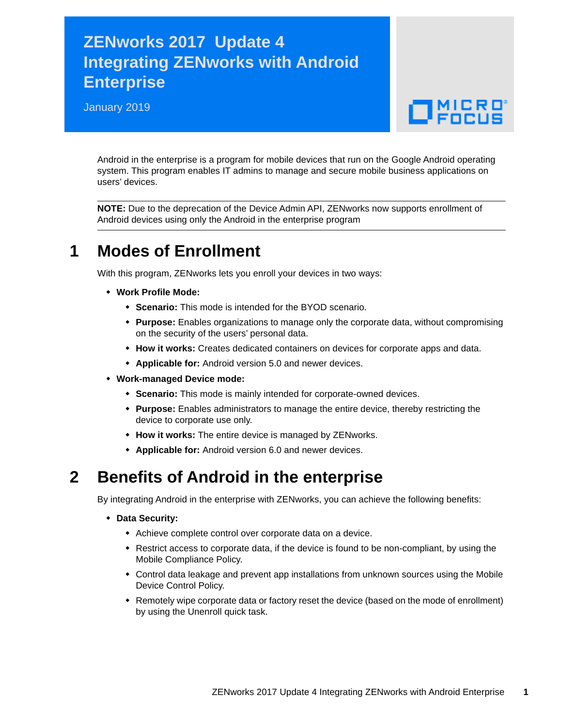## **ZENworks 2017 Update 4 Integrating ZENworks with Android Enterprise**

January 2019



Android in the enterprise is a program for mobile devices that run on the Google Android operating system. This program enables IT admins to manage and secure mobile business applications on users' devices.

**NOTE:** Due to the deprecation of the Device Admin API, ZENworks now supports enrollment of Android devices using only the Android in the enterprise program

#### **1 Modes of Enrollment**

With this program, ZENworks lets you enroll your devices in two ways:

- **Work Profile Mode:**
	- **Scenario:** This mode is intended for the BYOD scenario.
	- **Purpose:** Enables organizations to manage only the corporate data, without compromising on the security of the users' personal data.
	- **How it works:** Creates dedicated containers on devices for corporate apps and data.
	- **Applicable for:** Android version 5.0 and newer devices.
- **Work-managed Device mode:**
	- **Scenario:** This mode is mainly intended for corporate-owned devices.
	- **Purpose:** Enables administrators to manage the entire device, thereby restricting the device to corporate use only.
	- **How it works:** The entire device is managed by ZENworks.
	- **Applicable for:** Android version 6.0 and newer devices.

#### **2 Benefits of Android in the enterprise**

By integrating Android in the enterprise with ZENworks, you can achieve the following benefits:

- **Data Security:**
	- Achieve complete control over corporate data on a device.
	- Restrict access to corporate data, if the device is found to be non-compliant, by using the Mobile Compliance Policy.
	- Control data leakage and prevent app installations from unknown sources using the Mobile Device Control Policy.
	- Remotely wipe corporate data or factory reset the device (based on the mode of enrollment) by using the Unenroll quick task.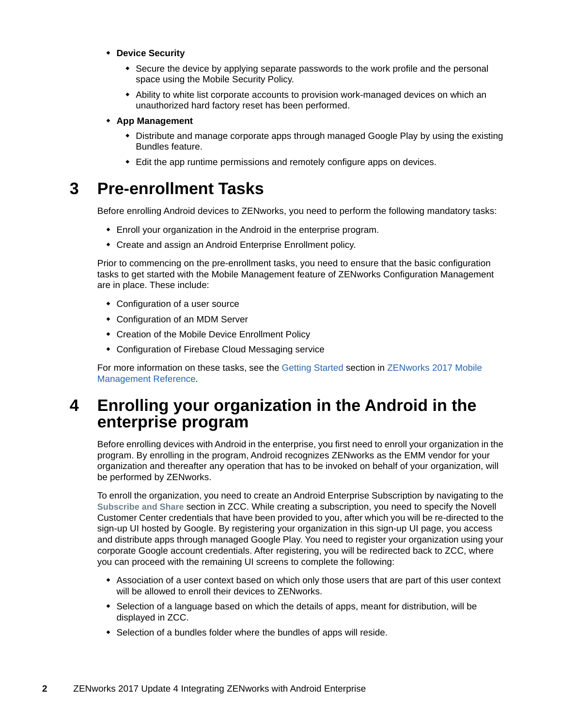- **Device Security**
	- Secure the device by applying separate passwords to the work profile and the personal space using the Mobile Security Policy.
	- Ability to white list corporate accounts to provision work-managed devices on which an unauthorized hard factory reset has been performed.

#### **App Management**

- Distribute and manage corporate apps through managed Google Play by using the existing Bundles feature.
- Edit the app runtime permissions and remotely configure apps on devices.

### **3 Pre-enrollment Tasks**

Before enrolling Android devices to ZENworks, you need to perform the following mandatory tasks:

- Enroll your organization in the Android in the enterprise program.
- Create and assign an Android Enterprise Enrollment policy.

Prior to commencing on the pre-enrollment tasks, you need to ensure that the basic configuration tasks to get started with the Mobile Management feature of ZENworks Configuration Management are in place. These include:

- Configuration of a user source
- Configuration of an MDM Server
- Creation of the Mobile Device Enrollment Policy
- Configuration of Firebase Cloud Messaging service

[For more information on these tasks, see the](https://www.novell.com/documentation/zenworks2017/pdfdoc/zen_mobile/zen_mobile.pdf#t47mbmxu2lxz) Getting Starte[d section in](https://www.novell.com/documentation/zenworks2017/pdfdoc/zen_mobile/zen_mobile.pdf#bookinfo) ZENworks 2017 Mobile Management Reference.

### **4 Enrolling your organization in the Android in the enterprise program**

Before enrolling devices with Android in the enterprise, you first need to enroll your organization in the program. By enrolling in the program, Android recognizes ZENworks as the EMM vendor for your organization and thereafter any operation that has to be invoked on behalf of your organization, will be performed by ZENworks.

To enroll the organization, you need to create an Android Enterprise Subscription by navigating to the **Subscribe and Share** section in ZCC. While creating a subscription, you need to specify the Novell Customer Center credentials that have been provided to you, after which you will be re-directed to the sign-up UI hosted by Google. By registering your organization in this sign-up UI page, you access and distribute apps through managed Google Play. You need to register your organization using your corporate Google account credentials. After registering, you will be redirected back to ZCC, where you can proceed with the remaining UI screens to complete the following:

- Association of a user context based on which only those users that are part of this user context will be allowed to enroll their devices to ZENworks.
- Selection of a language based on which the details of apps, meant for distribution, will be displayed in ZCC.
- Selection of a bundles folder where the bundles of apps will reside.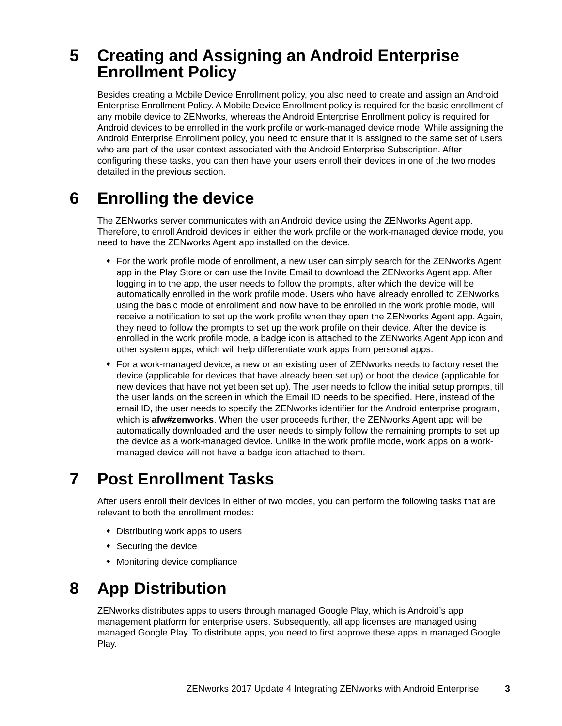## **5 Creating and Assigning an Android Enterprise Enrollment Policy**

Besides creating a Mobile Device Enrollment policy, you also need to create and assign an Android Enterprise Enrollment Policy. A Mobile Device Enrollment policy is required for the basic enrollment of any mobile device to ZENworks, whereas the Android Enterprise Enrollment policy is required for Android devices to be enrolled in the work profile or work-managed device mode. While assigning the Android Enterprise Enrollment policy, you need to ensure that it is assigned to the same set of users who are part of the user context associated with the Android Enterprise Subscription. After configuring these tasks, you can then have your users enroll their devices in one of the two modes detailed in the previous section.

## **6 Enrolling the device**

The ZENworks server communicates with an Android device using the ZENworks Agent app. Therefore, to enroll Android devices in either the work profile or the work-managed device mode, you need to have the ZENworks Agent app installed on the device.

- For the work profile mode of enrollment, a new user can simply search for the ZENworks Agent app in the Play Store or can use the Invite Email to download the ZENworks Agent app. After logging in to the app, the user needs to follow the prompts, after which the device will be automatically enrolled in the work profile mode. Users who have already enrolled to ZENworks using the basic mode of enrollment and now have to be enrolled in the work profile mode, will receive a notification to set up the work profile when they open the ZENworks Agent app. Again, they need to follow the prompts to set up the work profile on their device. After the device is enrolled in the work profile mode, a badge icon is attached to the ZENworks Agent App icon and other system apps, which will help differentiate work apps from personal apps.
- For a work-managed device, a new or an existing user of ZENworks needs to factory reset the device (applicable for devices that have already been set up) or boot the device (applicable for new devices that have not yet been set up). The user needs to follow the initial setup prompts, till the user lands on the screen in which the Email ID needs to be specified. Here, instead of the email ID, the user needs to specify the ZENworks identifier for the Android enterprise program, which is **afw#zenworks**. When the user proceeds further, the ZENworks Agent app will be automatically downloaded and the user needs to simply follow the remaining prompts to set up the device as a work-managed device. Unlike in the work profile mode, work apps on a workmanaged device will not have a badge icon attached to them.

## **7 Post Enrollment Tasks**

After users enroll their devices in either of two modes, you can perform the following tasks that are relevant to both the enrollment modes:

- Distributing work apps to users
- Securing the device
- Monitoring device compliance

## **8 App Distribution**

ZENworks distributes apps to users through managed Google Play, which is Android's app management platform for enterprise users. Subsequently, all app licenses are managed using managed Google Play. To distribute apps, you need to first approve these apps in managed Google Play.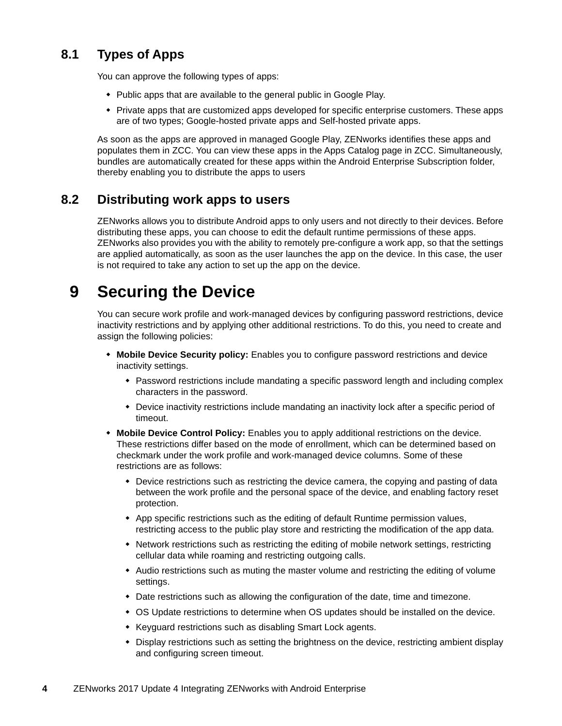#### **8.1 Types of Apps**

You can approve the following types of apps:

- Public apps that are available to the general public in Google Play.
- Private apps that are customized apps developed for specific enterprise customers. These apps are of two types; Google-hosted private apps and Self-hosted private apps.

As soon as the apps are approved in managed Google Play, ZENworks identifies these apps and populates them in ZCC. You can view these apps in the Apps Catalog page in ZCC. Simultaneously, bundles are automatically created for these apps within the Android Enterprise Subscription folder, thereby enabling you to distribute the apps to users

#### **8.2 Distributing work apps to users**

ZENworks allows you to distribute Android apps to only users and not directly to their devices. Before distributing these apps, you can choose to edit the default runtime permissions of these apps. ZENworks also provides you with the ability to remotely pre-configure a work app, so that the settings are applied automatically, as soon as the user launches the app on the device. In this case, the user is not required to take any action to set up the app on the device.

## **9 Securing the Device**

You can secure work profile and work-managed devices by configuring password restrictions, device inactivity restrictions and by applying other additional restrictions. To do this, you need to create and assign the following policies:

- **Mobile Device Security policy:** Enables you to configure password restrictions and device inactivity settings.
	- Password restrictions include mandating a specific password length and including complex characters in the password.
	- Device inactivity restrictions include mandating an inactivity lock after a specific period of timeout.
- **Mobile Device Control Policy:** Enables you to apply additional restrictions on the device. These restrictions differ based on the mode of enrollment, which can be determined based on checkmark under the work profile and work-managed device columns. Some of these restrictions are as follows:
	- Device restrictions such as restricting the device camera, the copying and pasting of data between the work profile and the personal space of the device, and enabling factory reset protection.
	- App specific restrictions such as the editing of default Runtime permission values, restricting access to the public play store and restricting the modification of the app data.
	- Network restrictions such as restricting the editing of mobile network settings, restricting cellular data while roaming and restricting outgoing calls.
	- Audio restrictions such as muting the master volume and restricting the editing of volume settings.
	- Date restrictions such as allowing the configuration of the date, time and timezone.
	- OS Update restrictions to determine when OS updates should be installed on the device.
	- Keyguard restrictions such as disabling Smart Lock agents.
	- Display restrictions such as setting the brightness on the device, restricting ambient display and configuring screen timeout.